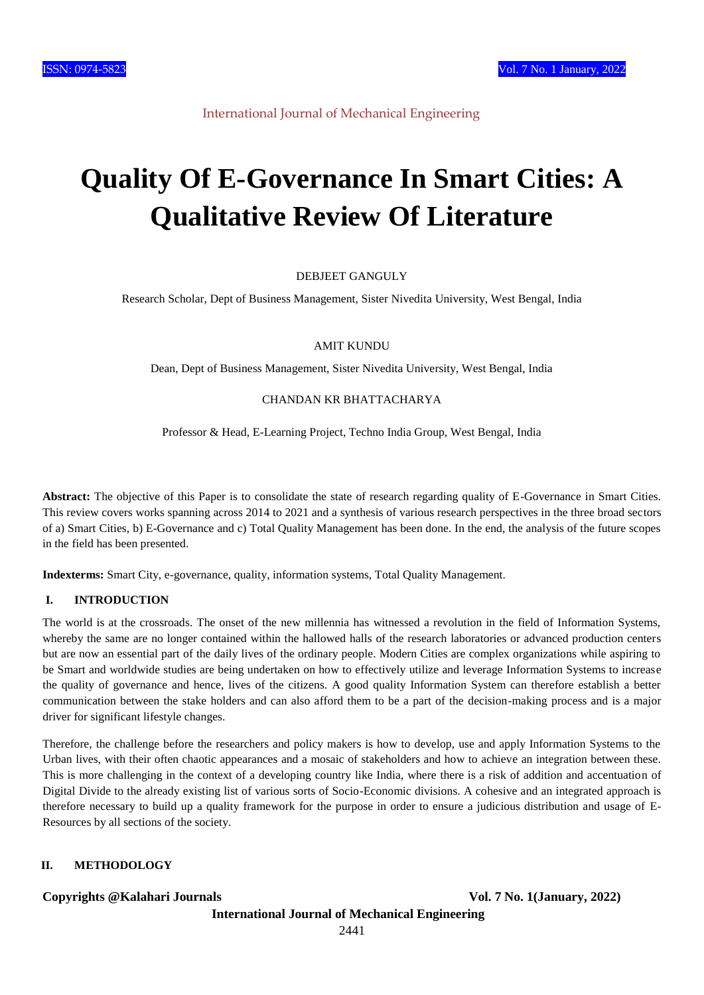

International Journal of Mechanical Engineering

# **Quality Of E-Governance In Smart Cities: A Qualitative Review Of Literature**

#### DEBJEET GANGULY

Research Scholar, Dept of Business Management, Sister Nivedita University, West Bengal, India

AMIT KUNDU

Dean, Dept of Business Management, Sister Nivedita University, West Bengal, India

### CHANDAN KR BHATTACHARYA

Professor & Head, E-Learning Project, Techno India Group, West Bengal, India

**Abstract:** The objective of this Paper is to consolidate the state of research regarding quality of E-Governance in Smart Cities. This review covers works spanning across 2014 to 2021 and a synthesis of various research perspectives in the three broad sectors of a) Smart Cities, b) E-Governance and c) Total Quality Management has been done. In the end, the analysis of the future scopes in the field has been presented.

**Indexterms:** Smart City, e-governance, quality, information systems, Total Quality Management.

# **I. INTRODUCTION**

The world is at the crossroads. The onset of the new millennia has witnessed a revolution in the field of Information Systems, whereby the same are no longer contained within the hallowed halls of the research laboratories or advanced production centers but are now an essential part of the daily lives of the ordinary people. Modern Cities are complex organizations while aspiring to be Smart and worldwide studies are being undertaken on how to effectively utilize and leverage Information Systems to increase the quality of governance and hence, lives of the citizens. A good quality Information System can therefore establish a better communication between the stake holders and can also afford them to be a part of the decision-making process and is a major driver for significant lifestyle changes.

Therefore, the challenge before the researchers and policy makers is how to develop, use and apply Information Systems to the Urban lives, with their often chaotic appearances and a mosaic of stakeholders and how to achieve an integration between these. This is more challenging in the context of a developing country like India, where there is a risk of addition and accentuation of Digital Divide to the already existing list of various sorts of Socio-Economic divisions. A cohesive and an integrated approach is therefore necessary to build up a quality framework for the purpose in order to ensure a judicious distribution and usage of E-Resources by all sections of the society.

# **II. METHODOLOGY**

#### **Copyrights @Kalahari Journals Vol. 7 No. 1(January, 2022)**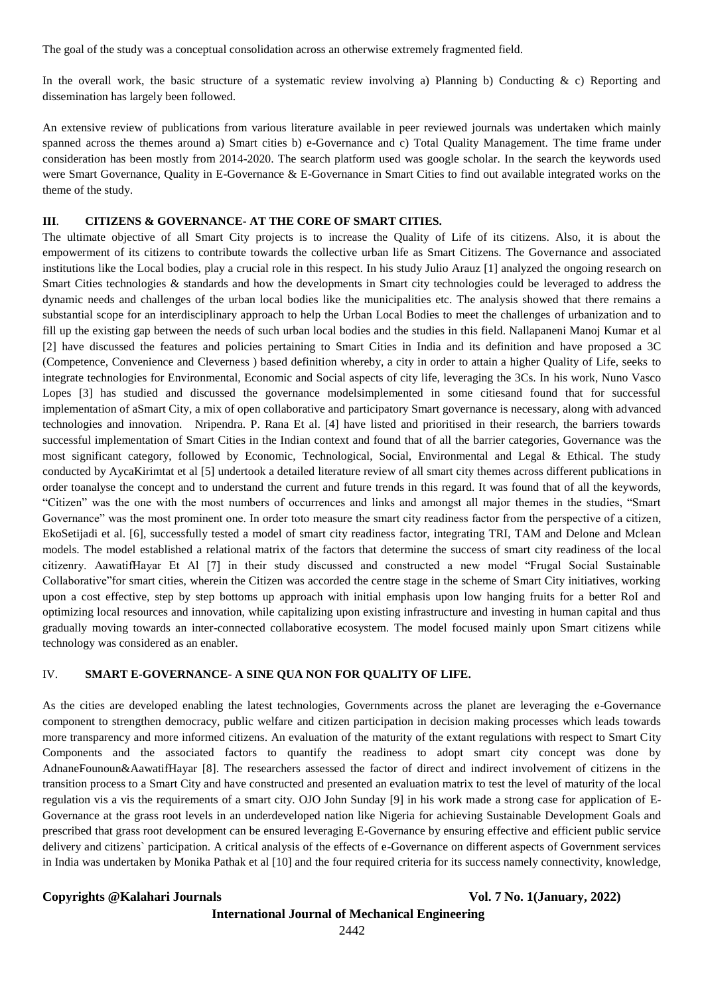The goal of the study was a conceptual consolidation across an otherwise extremely fragmented field.

In the overall work, the basic structure of a systematic review involving a) Planning b) Conducting  $\& c$  Reporting and dissemination has largely been followed.

An extensive review of publications from various literature available in peer reviewed journals was undertaken which mainly spanned across the themes around a) Smart cities b) e-Governance and c) Total Quality Management. The time frame under consideration has been mostly from 2014-2020. The search platform used was google scholar. In the search the keywords used were Smart Governance, Quality in E-Governance & E-Governance in Smart Cities to find out available integrated works on the theme of the study.

#### **III**. **CITIZENS & GOVERNANCE- AT THE CORE OF SMART CITIES.**

The ultimate objective of all Smart City projects is to increase the Quality of Life of its citizens. Also, it is about the empowerment of its citizens to contribute towards the collective urban life as Smart Citizens. The Governance and associated institutions like the Local bodies, play a crucial role in this respect. In his study Julio Arauz [1] analyzed the ongoing research on Smart Cities technologies & standards and how the developments in Smart city technologies could be leveraged to address the dynamic needs and challenges of the urban local bodies like the municipalities etc. The analysis showed that there remains a substantial scope for an interdisciplinary approach to help the Urban Local Bodies to meet the challenges of urbanization and to fill up the existing gap between the needs of such urban local bodies and the studies in this field. Nallapaneni Manoj Kumar et al [2] have discussed the features and policies pertaining to Smart Cities in India and its definition and have proposed a 3C (Competence, Convenience and Cleverness ) based definition whereby, a city in order to attain a higher Quality of Life, seeks to integrate technologies for Environmental, Economic and Social aspects of city life, leveraging the 3Cs. In his work, Nuno Vasco Lopes [3] has studied and discussed the governance modelsimplemented in some citiesand found that for successful implementation of aSmart City, a mix of open collaborative and participatory Smart governance is necessary, along with advanced technologies and innovation. Nripendra. P. Rana Et al. [4] have listed and prioritised in their research, the barriers towards successful implementation of Smart Cities in the Indian context and found that of all the barrier categories, Governance was the most significant category, followed by Economic, Technological, Social, Environmental and Legal & Ethical. The study conducted by AycaKirimtat et al [5] undertook a detailed literature review of all smart city themes across different publications in order toanalyse the concept and to understand the current and future trends in this regard. It was found that of all the keywords, "Citizen" was the one with the most numbers of occurrences and links and amongst all major themes in the studies, "Smart Governance" was the most prominent one. In order toto measure the smart city readiness factor from the perspective of a citizen, EkoSetijadi et al. [6], successfully tested a model of smart city readiness factor, integrating TRI, TAM and Delone and Mclean models. The model established a relational matrix of the factors that determine the success of smart city readiness of the local citizenry. AawatifHayar Et Al [7] in their study discussed and constructed a new model "Frugal Social Sustainable Collaborative"for smart cities, wherein the Citizen was accorded the centre stage in the scheme of Smart City initiatives, working upon a cost effective, step by step bottoms up approach with initial emphasis upon low hanging fruits for a better RoI and optimizing local resources and innovation, while capitalizing upon existing infrastructure and investing in human capital and thus gradually moving towards an inter-connected collaborative ecosystem. The model focused mainly upon Smart citizens while technology was considered as an enabler.

#### IV. **SMART E-GOVERNANCE- A SINE QUA NON FOR QUALITY OF LIFE.**

As the cities are developed enabling the latest technologies, Governments across the planet are leveraging the e-Governance component to strengthen democracy, public welfare and citizen participation in decision making processes which leads towards more transparency and more informed citizens. An evaluation of the maturity of the extant regulations with respect to Smart City Components and the associated factors to quantify the readiness to adopt smart city concept was done by AdnaneFounoun&AawatifHayar [8]. The researchers assessed the factor of direct and indirect involvement of citizens in the transition process to a Smart City and have constructed and presented an evaluation matrix to test the level of maturity of the local regulation vis a vis the requirements of a smart city. OJO John Sunday [9] in his work made a strong case for application of E-Governance at the grass root levels in an underdeveloped nation like Nigeria for achieving Sustainable Development Goals and prescribed that grass root development can be ensured leveraging E-Governance by ensuring effective and efficient public service delivery and citizens` participation. A critical analysis of the effects of e-Governance on different aspects of Government services in India was undertaken by Monika Pathak et al [10] and the four required criteria for its success namely connectivity, knowledge,

**Copyrights @Kalahari Journals Vol. 7 No. 1(January, 2022)**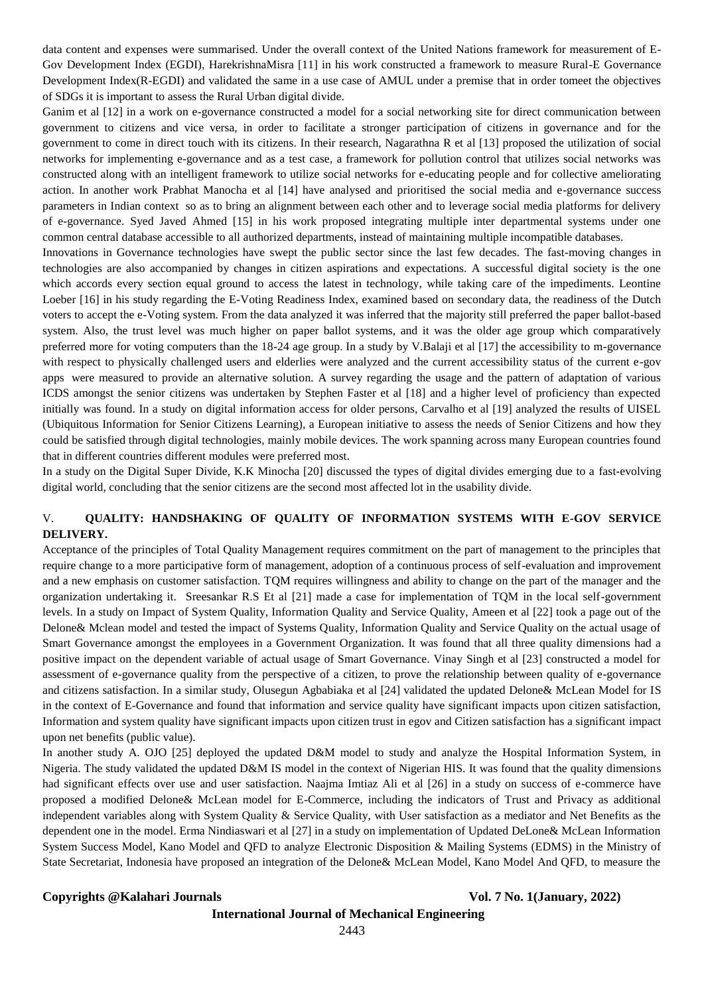data content and expenses were summarised. Under the overall context of the United Nations framework for measurement of E-Gov Development Index (EGDI), HarekrishnaMisra [11] in his work constructed a framework to measure Rural-E Governance Development Index(R-EGDI) and validated the same in a use case of AMUL under a premise that in order tomeet the objectives of SDGs it is important to assess the Rural Urban digital divide.

Ganim et al [12] in a work on e-governance constructed a model for a social networking site for direct communication between government to citizens and vice versa, in order to facilitate a stronger participation of citizens in governance and for the government to come in direct touch with its citizens. In their research, Nagarathna R et al [13] proposed the utilization of social networks for implementing e-governance and as a test case, a framework for pollution control that utilizes social networks was constructed along with an intelligent framework to utilize social networks for e-educating people and for collective ameliorating action. In another work Prabhat Manocha et al [14] have analysed and prioritised the social media and e-governance success parameters in Indian context so as to bring an alignment between each other and to leverage social media platforms for delivery of e-governance. Syed Javed Ahmed [15] in his work proposed integrating multiple inter departmental systems under one common central database accessible to all authorized departments, instead of maintaining multiple incompatible databases.

Innovations in Governance technologies have swept the public sector since the last few decades. The fast-moving changes in technologies are also accompanied by changes in citizen aspirations and expectations. A successful digital society is the one which accords every section equal ground to access the latest in technology, while taking care of the impediments. Leontine Loeber [16] in his study regarding the E-Voting Readiness Index, examined based on secondary data, the readiness of the Dutch voters to accept the e-Voting system. From the data analyzed it was inferred that the majority still preferred the paper ballot-based system. Also, the trust level was much higher on paper ballot systems, and it was the older age group which comparatively preferred more for voting computers than the 18-24 age group. In a study by V.Balaji et al [17] the accessibility to m-governance with respect to physically challenged users and elderlies were analyzed and the current accessibility status of the current e-gov apps were measured to provide an alternative solution. A survey regarding the usage and the pattern of adaptation of various ICDS amongst the senior citizens was undertaken by Stephen Faster et al [18] and a higher level of proficiency than expected initially was found. In a study on digital information access for older persons, Carvalho et al [19] analyzed the results of UISEL (Ubiquitous Information for Senior Citizens Learning), a European initiative to assess the needs of Senior Citizens and how they could be satisfied through digital technologies, mainly mobile devices. The work spanning across many European countries found that in different countries different modules were preferred most.

In a study on the Digital Super Divide, K.K Minocha [20] discussed the types of digital divides emerging due to a fast-evolving digital world, concluding that the senior citizens are the second most affected lot in the usability divide.

# V. **QUALITY: HANDSHAKING OF QUALITY OF INFORMATION SYSTEMS WITH E-GOV SERVICE DELIVERY.**

Acceptance of the principles of Total Quality Management requires commitment on the part of management to the principles that require change to a more participative form of management, adoption of a continuous process of self-evaluation and improvement and a new emphasis on customer satisfaction. TQM requires willingness and ability to change on the part of the manager and the organization undertaking it. Sreesankar R.S Et al [21] made a case for implementation of TQM in the local self-government levels. In a study on Impact of System Quality, Information Quality and Service Quality, Ameen et al [22] took a page out of the Delone& Mclean model and tested the impact of Systems Quality, Information Quality and Service Quality on the actual usage of Smart Governance amongst the employees in a Government Organization. It was found that all three quality dimensions had a positive impact on the dependent variable of actual usage of Smart Governance. Vinay Singh et al [23] constructed a model for assessment of e-governance quality from the perspective of a citizen, to prove the relationship between quality of e-governance and citizens satisfaction. In a similar study, Olusegun Agbabiaka et al [24] validated the updated Delone& McLean Model for IS in the context of E-Governance and found that information and service quality have significant impacts upon citizen satisfaction, Information and system quality have significant impacts upon citizen trust in egov and Citizen satisfaction has a significant impact upon net benefits (public value).

In another study A. OJO [25] deployed the updated D&M model to study and analyze the Hospital Information System, in Nigeria. The study validated the updated D&M IS model in the context of Nigerian HIS. It was found that the quality dimensions had significant effects over use and user satisfaction. Naajma Imtiaz Ali et al [26] in a study on success of e-commerce have proposed a modified Delone& McLean model for E-Commerce, including the indicators of Trust and Privacy as additional independent variables along with System Quality & Service Quality, with User satisfaction as a mediator and Net Benefits as the dependent one in the model. Erma Nindiaswari et al [27] in a study on implementation of Updated DeLone& McLean Information System Success Model, Kano Model and QFD to analyze Electronic Disposition & Mailing Systems (EDMS) in the Ministry of State Secretariat, Indonesia have proposed an integration of the Delone& McLean Model, Kano Model And QFD, to measure the

**Copyrights @Kalahari Journals Vol. 7 No. 1(January, 2022)**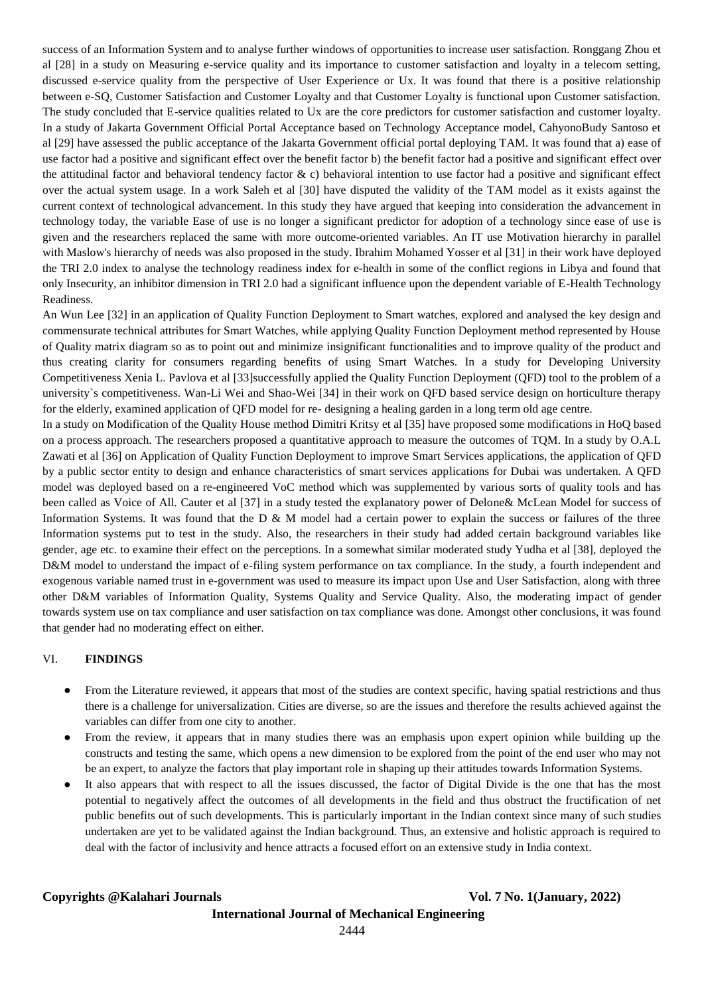success of an Information System and to analyse further windows of opportunities to increase user satisfaction. Ronggang Zhou et al [28] in a study on Measuring e-service quality and its importance to customer satisfaction and loyalty in a telecom setting, discussed e-service quality from the perspective of User Experience or Ux. It was found that there is a positive relationship between e-SQ, Customer Satisfaction and Customer Loyalty and that Customer Loyalty is functional upon Customer satisfaction. The study concluded that E-service qualities related to Ux are the core predictors for customer satisfaction and customer loyalty. In a study of Jakarta Government Official Portal Acceptance based on Technology Acceptance model, CahyonoBudy Santoso et al [29] have assessed the public acceptance of the Jakarta Government official portal deploying TAM. It was found that a) ease of use factor had a positive and significant effect over the benefit factor b) the benefit factor had a positive and significant effect over the attitudinal factor and behavioral tendency factor  $\& c$ ) behavioral intention to use factor had a positive and significant effect over the actual system usage. In a work Saleh et al [30] have disputed the validity of the TAM model as it exists against the current context of technological advancement. In this study they have argued that keeping into consideration the advancement in technology today, the variable Ease of use is no longer a significant predictor for adoption of a technology since ease of use is given and the researchers replaced the same with more outcome-oriented variables. An IT use Motivation hierarchy in parallel with Maslow's hierarchy of needs was also proposed in the study. Ibrahim Mohamed Yosser et al [31] in their work have deployed the TRI 2.0 index to analyse the technology readiness index for e-health in some of the conflict regions in Libya and found that only Insecurity, an inhibitor dimension in TRI 2.0 had a significant influence upon the dependent variable of E-Health Technology Readiness.

An Wun Lee [32] in an application of Quality Function Deployment to Smart watches, explored and analysed the key design and commensurate technical attributes for Smart Watches, while applying Quality Function Deployment method represented by House of Quality matrix diagram so as to point out and minimize insignificant functionalities and to improve quality of the product and thus creating clarity for consumers regarding benefits of using Smart Watches. In a study for Developing University Competitiveness Xenia L. Pavlova et al [33]successfully applied the Quality Function Deployment (QFD) tool to the problem of a university`s competitiveness. Wan-Li Wei and Shao-Wei [34] in their work on QFD based service design on horticulture therapy for the elderly, examined application of QFD model for re- designing a healing garden in a long term old age centre.

In a study on Modification of the Quality House method Dimitri Kritsy et al [35] have proposed some modifications in HoQ based on a process approach. The researchers proposed a quantitative approach to measure the outcomes of TQM. In a study by O.A.L Zawati et al [36] on Application of Quality Function Deployment to improve Smart Services applications, the application of QFD by a public sector entity to design and enhance characteristics of smart services applications for Dubai was undertaken. A QFD model was deployed based on a re-engineered VoC method which was supplemented by various sorts of quality tools and has been called as Voice of All. Cauter et al [37] in a study tested the explanatory power of Delone& McLean Model for success of Information Systems. It was found that the D & M model had a certain power to explain the success or failures of the three Information systems put to test in the study. Also, the researchers in their study had added certain background variables like gender, age etc. to examine their effect on the perceptions. In a somewhat similar moderated study Yudha et al [38], deployed the D&M model to understand the impact of e-filing system performance on tax compliance. In the study, a fourth independent and exogenous variable named trust in e-government was used to measure its impact upon Use and User Satisfaction, along with three other D&M variables of Information Quality, Systems Quality and Service Quality. Also, the moderating impact of gender towards system use on tax compliance and user satisfaction on tax compliance was done. Amongst other conclusions, it was found that gender had no moderating effect on either.

#### VI. **FINDINGS**

- From the Literature reviewed, it appears that most of the studies are context specific, having spatial restrictions and thus there is a challenge for universalization. Cities are diverse, so are the issues and therefore the results achieved against the variables can differ from one city to another.
- From the review, it appears that in many studies there was an emphasis upon expert opinion while building up the constructs and testing the same, which opens a new dimension to be explored from the point of the end user who may not be an expert, to analyze the factors that play important role in shaping up their attitudes towards Information Systems.
- It also appears that with respect to all the issues discussed, the factor of Digital Divide is the one that has the most potential to negatively affect the outcomes of all developments in the field and thus obstruct the fructification of net public benefits out of such developments. This is particularly important in the Indian context since many of such studies undertaken are yet to be validated against the Indian background. Thus, an extensive and holistic approach is required to deal with the factor of inclusivity and hence attracts a focused effort on an extensive study in India context.

**Copyrights @Kalahari Journals Vol. 7 No. 1(January, 2022)**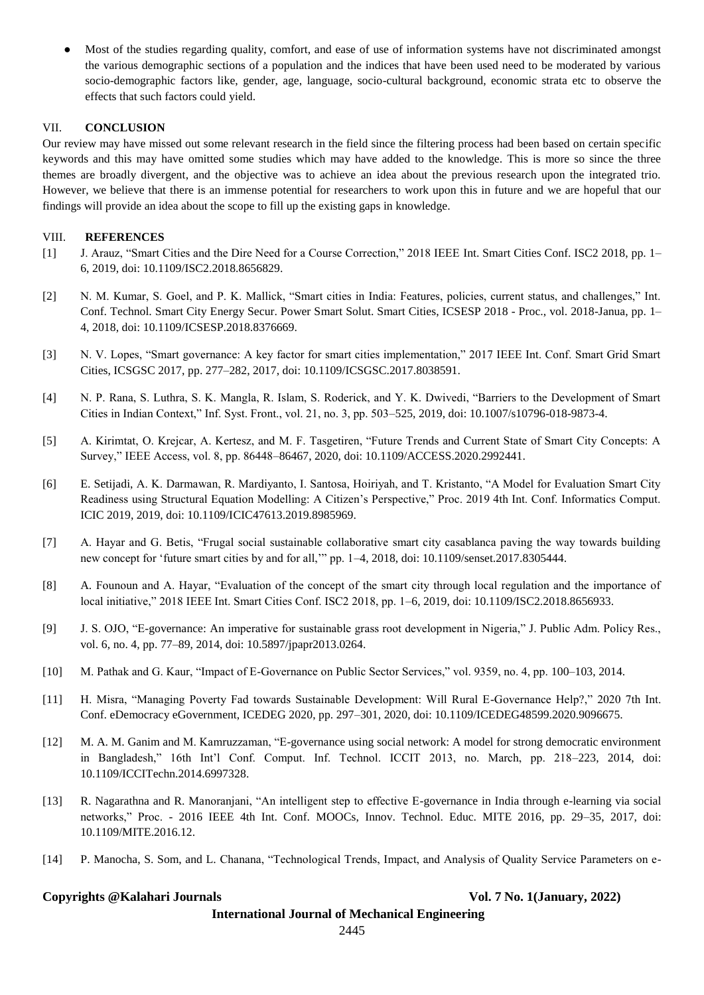Most of the studies regarding quality, comfort, and ease of use of information systems have not discriminated amongst the various demographic sections of a population and the indices that have been used need to be moderated by various socio-demographic factors like, gender, age, language, socio-cultural background, economic strata etc to observe the effects that such factors could yield.

## VII. **CONCLUSION**

Our review may have missed out some relevant research in the field since the filtering process had been based on certain specific keywords and this may have omitted some studies which may have added to the knowledge. This is more so since the three themes are broadly divergent, and the objective was to achieve an idea about the previous research upon the integrated trio. However, we believe that there is an immense potential for researchers to work upon this in future and we are hopeful that our findings will provide an idea about the scope to fill up the existing gaps in knowledge.

## VIII. **REFERENCES**

- [1] J. Arauz, "Smart Cities and the Dire Need for a Course Correction," 2018 IEEE Int. Smart Cities Conf. ISC2 2018, pp. 1– 6, 2019, doi: 10.1109/ISC2.2018.8656829.
- [2] N. M. Kumar, S. Goel, and P. K. Mallick, "Smart cities in India: Features, policies, current status, and challenges," Int. Conf. Technol. Smart City Energy Secur. Power Smart Solut. Smart Cities, ICSESP 2018 - Proc., vol. 2018-Janua, pp. 1– 4, 2018, doi: 10.1109/ICSESP.2018.8376669.
- [3] N. V. Lopes, "Smart governance: A key factor for smart cities implementation," 2017 IEEE Int. Conf. Smart Grid Smart Cities, ICSGSC 2017, pp. 277–282, 2017, doi: 10.1109/ICSGSC.2017.8038591.
- [4] N. P. Rana, S. Luthra, S. K. Mangla, R. Islam, S. Roderick, and Y. K. Dwivedi, "Barriers to the Development of Smart Cities in Indian Context," Inf. Syst. Front., vol. 21, no. 3, pp. 503–525, 2019, doi: 10.1007/s10796-018-9873-4.
- [5] A. Kirimtat, O. Krejcar, A. Kertesz, and M. F. Tasgetiren, "Future Trends and Current State of Smart City Concepts: A Survey," IEEE Access, vol. 8, pp. 86448–86467, 2020, doi: 10.1109/ACCESS.2020.2992441.
- [6] E. Setijadi, A. K. Darmawan, R. Mardiyanto, I. Santosa, Hoiriyah, and T. Kristanto, "A Model for Evaluation Smart City Readiness using Structural Equation Modelling: A Citizen's Perspective," Proc. 2019 4th Int. Conf. Informatics Comput. ICIC 2019, 2019, doi: 10.1109/ICIC47613.2019.8985969.
- [7] A. Hayar and G. Betis, "Frugal social sustainable collaborative smart city casablanca paving the way towards building new concept for 'future smart cities by and for all,'" pp. 1–4, 2018, doi: 10.1109/senset.2017.8305444.
- [8] A. Founoun and A. Hayar, "Evaluation of the concept of the smart city through local regulation and the importance of local initiative," 2018 IEEE Int. Smart Cities Conf. ISC2 2018, pp. 1–6, 2019, doi: 10.1109/ISC2.2018.8656933.
- [9] J. S. OJO, "E-governance: An imperative for sustainable grass root development in Nigeria," J. Public Adm. Policy Res., vol. 6, no. 4, pp. 77–89, 2014, doi: 10.5897/jpapr2013.0264.
- [10] M. Pathak and G. Kaur, "Impact of E-Governance on Public Sector Services," vol. 9359, no. 4, pp. 100–103, 2014.
- [11] H. Misra, "Managing Poverty Fad towards Sustainable Development: Will Rural E-Governance Help?," 2020 7th Int. Conf. eDemocracy eGovernment, ICEDEG 2020, pp. 297–301, 2020, doi: 10.1109/ICEDEG48599.2020.9096675.
- [12] M. A. M. Ganim and M. Kamruzzaman, "E-governance using social network: A model for strong democratic environment in Bangladesh," 16th Int'l Conf. Comput. Inf. Technol. ICCIT 2013, no. March, pp. 218–223, 2014, doi: 10.1109/ICCITechn.2014.6997328.
- [13] R. Nagarathna and R. Manoranjani, "An intelligent step to effective E-governance in India through e-learning via social networks," Proc. - 2016 IEEE 4th Int. Conf. MOOCs, Innov. Technol. Educ. MITE 2016, pp. 29–35, 2017, doi: 10.1109/MITE.2016.12.
- [14] P. Manocha, S. Som, and L. Chanana, "Technological Trends, Impact, and Analysis of Quality Service Parameters on e-

#### **Copyrights @Kalahari Journals Vol. 7 No. 1(January, 2022)**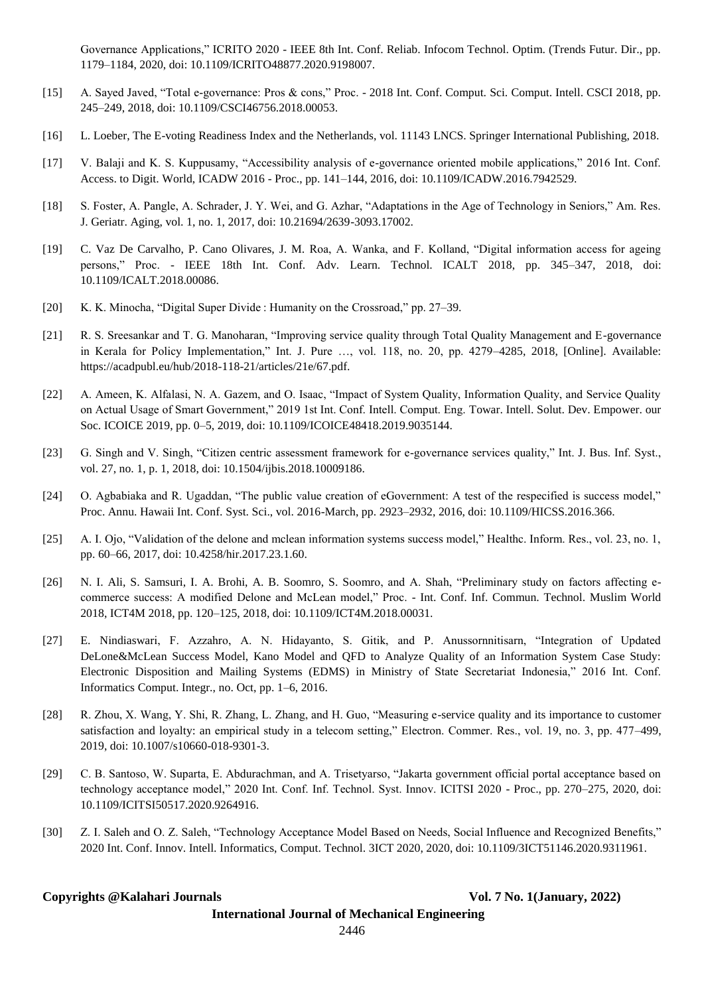Governance Applications," ICRITO 2020 - IEEE 8th Int. Conf. Reliab. Infocom Technol. Optim. (Trends Futur. Dir., pp. 1179–1184, 2020, doi: 10.1109/ICRITO48877.2020.9198007.

- [15] A. Sayed Javed, "Total e-governance: Pros & cons," Proc. 2018 Int. Conf. Comput. Sci. Comput. Intell. CSCI 2018, pp. 245–249, 2018, doi: 10.1109/CSCI46756.2018.00053.
- [16] L. Loeber, The E-voting Readiness Index and the Netherlands, vol. 11143 LNCS. Springer International Publishing, 2018.
- [17] V. Balaji and K. S. Kuppusamy, "Accessibility analysis of e-governance oriented mobile applications," 2016 Int. Conf. Access. to Digit. World, ICADW 2016 - Proc., pp. 141–144, 2016, doi: 10.1109/ICADW.2016.7942529.
- [18] S. Foster, A. Pangle, A. Schrader, J. Y. Wei, and G. Azhar, "Adaptations in the Age of Technology in Seniors," Am. Res. J. Geriatr. Aging, vol. 1, no. 1, 2017, doi: 10.21694/2639-3093.17002.
- [19] C. Vaz De Carvalho, P. Cano Olivares, J. M. Roa, A. Wanka, and F. Kolland, "Digital information access for ageing persons," Proc. - IEEE 18th Int. Conf. Adv. Learn. Technol. ICALT 2018, pp. 345–347, 2018, doi: 10.1109/ICALT.2018.00086.
- [20] K. K. Minocha, "Digital Super Divide : Humanity on the Crossroad," pp. 27–39.
- [21] R. S. Sreesankar and T. G. Manoharan, "Improving service quality through Total Quality Management and E-governance in Kerala for Policy Implementation," Int. J. Pure …, vol. 118, no. 20, pp. 4279–4285, 2018, [Online]. Available: https://acadpubl.eu/hub/2018-118-21/articles/21e/67.pdf.
- [22] A. Ameen, K. Alfalasi, N. A. Gazem, and O. Isaac, "Impact of System Quality, Information Quality, and Service Quality on Actual Usage of Smart Government," 2019 1st Int. Conf. Intell. Comput. Eng. Towar. Intell. Solut. Dev. Empower. our Soc. ICOICE 2019, pp. 0–5, 2019, doi: 10.1109/ICOICE48418.2019.9035144.
- [23] G. Singh and V. Singh, "Citizen centric assessment framework for e-governance services quality," Int. J. Bus. Inf. Syst., vol. 27, no. 1, p. 1, 2018, doi: 10.1504/ijbis.2018.10009186.
- [24] O. Agbabiaka and R. Ugaddan, "The public value creation of eGovernment: A test of the respecified is success model," Proc. Annu. Hawaii Int. Conf. Syst. Sci., vol. 2016-March, pp. 2923–2932, 2016, doi: 10.1109/HICSS.2016.366.
- [25] A. I. Ojo, "Validation of the delone and mclean information systems success model," Healthc. Inform. Res., vol. 23, no. 1, pp. 60–66, 2017, doi: 10.4258/hir.2017.23.1.60.
- [26] N. I. Ali, S. Samsuri, I. A. Brohi, A. B. Soomro, S. Soomro, and A. Shah, "Preliminary study on factors affecting ecommerce success: A modified Delone and McLean model," Proc. - Int. Conf. Inf. Commun. Technol. Muslim World 2018, ICT4M 2018, pp. 120–125, 2018, doi: 10.1109/ICT4M.2018.00031.
- [27] E. Nindiaswari, F. Azzahro, A. N. Hidayanto, S. Gitik, and P. Anussornnitisarn, "Integration of Updated DeLone&McLean Success Model, Kano Model and QFD to Analyze Quality of an Information System Case Study: Electronic Disposition and Mailing Systems (EDMS) in Ministry of State Secretariat Indonesia," 2016 Int. Conf. Informatics Comput. Integr., no. Oct, pp. 1–6, 2016.
- [28] R. Zhou, X. Wang, Y. Shi, R. Zhang, L. Zhang, and H. Guo, "Measuring e-service quality and its importance to customer satisfaction and loyalty: an empirical study in a telecom setting," Electron. Commer. Res., vol. 19, no. 3, pp. 477–499, 2019, doi: 10.1007/s10660-018-9301-3.
- [29] C. B. Santoso, W. Suparta, E. Abdurachman, and A. Trisetyarso, "Jakarta government official portal acceptance based on technology acceptance model," 2020 Int. Conf. Inf. Technol. Syst. Innov. ICITSI 2020 - Proc., pp. 270–275, 2020, doi: 10.1109/ICITSI50517.2020.9264916.
- [30] Z. I. Saleh and O. Z. Saleh, "Technology Acceptance Model Based on Needs, Social Influence and Recognized Benefits," 2020 Int. Conf. Innov. Intell. Informatics, Comput. Technol. 3ICT 2020, 2020, doi: 10.1109/3ICT51146.2020.9311961.

## **Copyrights @Kalahari Journals Vol. 7 No. 1(January, 2022)**